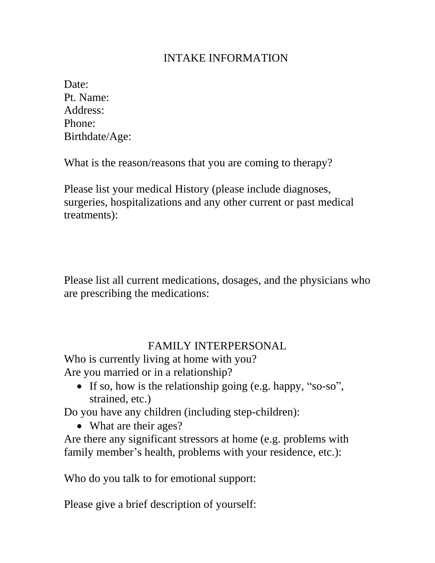#### INTAKE INFORMATION

| Date:          |
|----------------|
| Pt. Name:      |
| Address:       |
| Phone:         |
| Birthdate/Age: |

What is the reason/reasons that you are coming to therapy?

Please list your medical History (please include diagnoses, surgeries, hospitalizations and any other current or past medical treatments):

Please list all current medications, dosages, and the physicians who are prescribing the medications:

#### FAMILY INTERPERSONAL

Who is currently living at home with you? Are you married or in a relationship?

• If so, how is the relationship going (e.g. happy, "so-so", strained, etc.)

Do you have any children (including step-children):

• What are their ages?

Are there any significant stressors at home (e.g. problems with family member's health, problems with your residence, etc.):

Who do you talk to for emotional support:

Please give a brief description of yourself: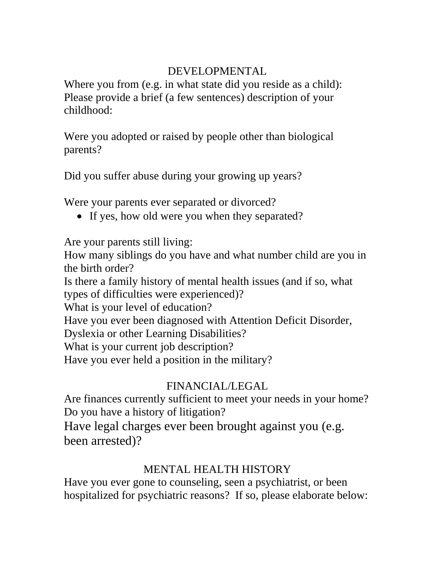#### DEVELOPMENTAL

Where you from (e.g. in what state did you reside as a child): Please provide a brief (a few sentences) description of your childhood:

Were you adopted or raised by people other than biological parents?

Did you suffer abuse during your growing up years?

Were your parents ever separated or divorced?

• If yes, how old were you when they separated?

Are your parents still living:

How many siblings do you have and what number child are you in the birth order?

Is there a family history of mental health issues (and if so, what types of difficulties were experienced)?

What is your level of education?

Have you ever been diagnosed with Attention Deficit Disorder,

Dyslexia or other Learning Disabilities?

What is your current job description?

Have you ever held a position in the military?

## FINANCIAL/LEGAL

Are finances currently sufficient to meet your needs in your home? Do you have a history of litigation? Have legal charges ever been brought against you (e.g. been arrested)?

## MENTAL HEALTH HISTORY

Have you ever gone to counseling, seen a psychiatrist, or been hospitalized for psychiatric reasons? If so, please elaborate below: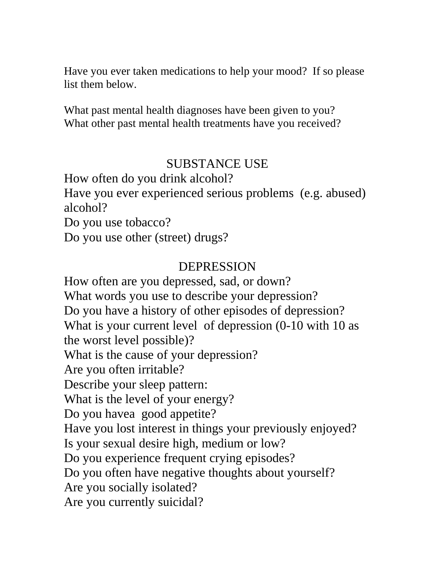Have you ever taken medications to help your mood? If so please list them below.

What past mental health diagnoses have been given to you? What other past mental health treatments have you received?

## SUBSTANCE USE

How often do you drink alcohol?

Have you ever experienced serious problems (e.g. abused) alcohol?

Do you use tobacco?

Do you use other (street) drugs?

# DEPRESSION

How often are you depressed, sad, or down? What words you use to describe your depression? Do you have a history of other episodes of depression? What is your current level of depression (0-10 with 10 as the worst level possible)? What is the cause of your depression? Are you often irritable? Describe your sleep pattern: What is the level of your energy? Do you havea good appetite? Have you lost interest in things your previously enjoyed? Is your sexual desire high, medium or low? Do you experience frequent crying episodes? Do you often have negative thoughts about yourself? Are you socially isolated? Are you currently suicidal?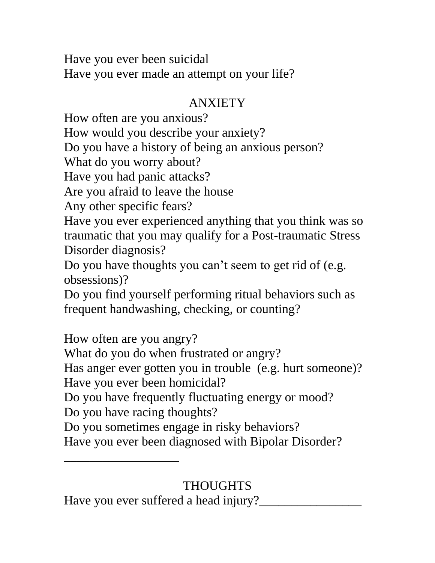Have you ever been suicidal Have you ever made an attempt on your life?

# ANXIETY

How often are you anxious? How would you describe your anxiety? Do you have a history of being an anxious person? What do you worry about? Have you had panic attacks? Are you afraid to leave the house Any other specific fears? Have you ever experienced anything that you think was so traumatic that you may qualify for a Post-traumatic Stress Disorder diagnosis? Do you have thoughts you can't seem to get rid of (e.g. obsessions)? Do you find yourself performing ritual behaviors such as frequent handwashing, checking, or counting? How often are you angry? What do you do when frustrated or angry? Has anger ever gotten you in trouble (e.g. hurt someone)? Have you ever been homicidal? Do you have frequently fluctuating energy or mood? Do you have racing thoughts? Do you sometimes engage in risky behaviors? Have you ever been diagnosed with Bipolar Disorder? \_\_\_\_\_\_\_\_\_\_\_\_\_\_\_\_\_\_

Have you ever suffered a head injury?\_\_\_\_\_\_\_\_\_\_\_\_\_\_\_\_